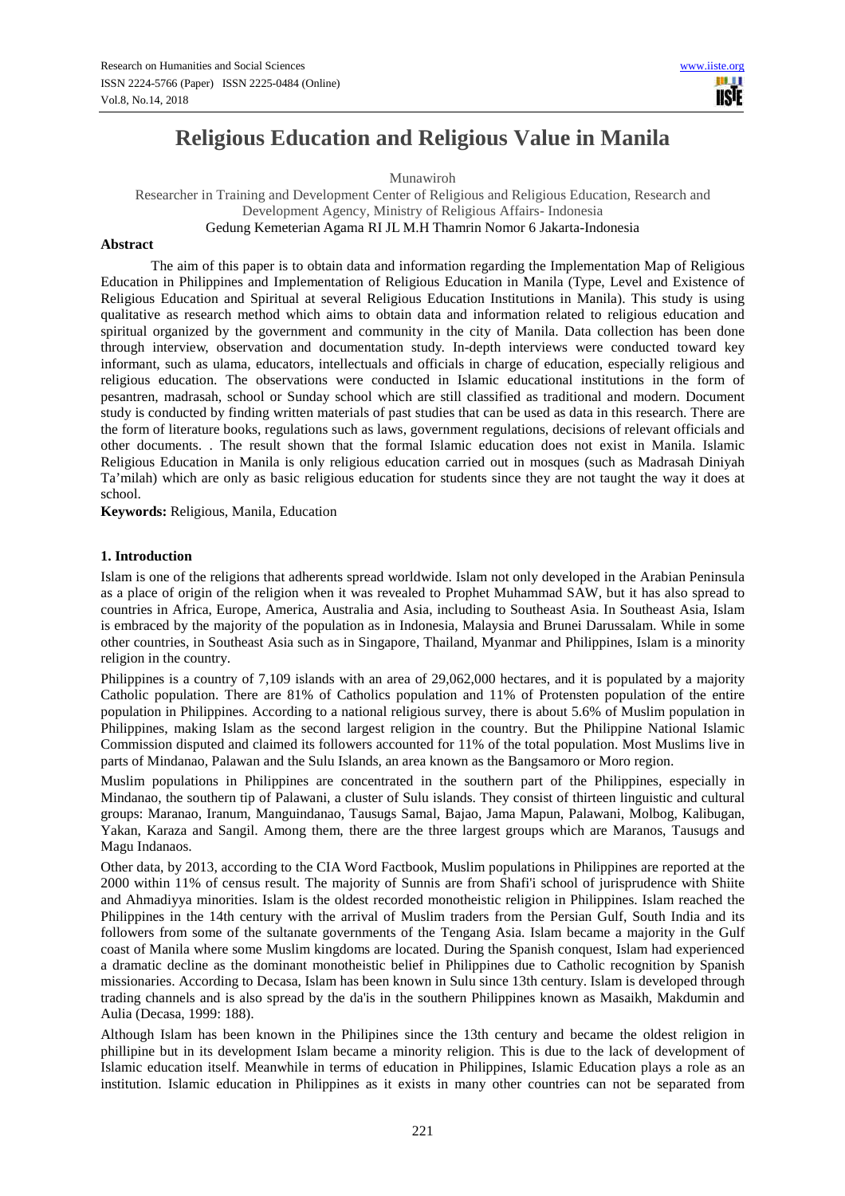# **Religious Education and Religious Value in Manila**

Munawiroh

Researcher in Training and Development Center of Religious and Religious Education, Research and Development Agency, Ministry of Religious Affairs- Indonesia Gedung Kemeterian Agama RI JL M.H Thamrin Nomor 6 Jakarta-Indonesia

# **Abstract**

The aim of this paper is to obtain data and information regarding the Implementation Map of Religious Education in Philippines and Implementation of Religious Education in Manila (Type, Level and Existence of Religious Education and Spiritual at several Religious Education Institutions in Manila). This study is using qualitative as research method which aims to obtain data and information related to religious education and spiritual organized by the government and community in the city of Manila. Data collection has been done through interview, observation and documentation study. In-depth interviews were conducted toward key informant, such as ulama, educators, intellectuals and officials in charge of education, especially religious and religious education. The observations were conducted in Islamic educational institutions in the form of pesantren, madrasah, school or Sunday school which are still classified as traditional and modern. Document study is conducted by finding written materials of past studies that can be used as data in this research. There are the form of literature books, regulations such as laws, government regulations, decisions of relevant officials and other documents. . The result shown that the formal Islamic education does not exist in Manila. Islamic Religious Education in Manila is only religious education carried out in mosques (such as Madrasah Diniyah Ta'milah) which are only as basic religious education for students since they are not taught the way it does at school.

**Keywords:** Religious, Manila, Education

# **1. Introduction**

Islam is one of the religions that adherents spread worldwide. Islam not only developed in the Arabian Peninsula as a place of origin of the religion when it was revealed to Prophet Muhammad SAW, but it has also spread to countries in Africa, Europe, America, Australia and Asia, including to Southeast Asia. In Southeast Asia, Islam is embraced by the majority of the population as in Indonesia, Malaysia and Brunei Darussalam. While in some other countries, in Southeast Asia such as in Singapore, Thailand, Myanmar and Philippines, Islam is a minority religion in the country.

Philippines is a country of 7,109 islands with an area of 29,062,000 hectares, and it is populated by a majority Catholic population. There are 81% of Catholics population and 11% of Protensten population of the entire population in Philippines. According to a national religious survey, there is about 5.6% of Muslim population in Philippines, making Islam as the second largest religion in the country. But the Philippine National Islamic Commission disputed and claimed its followers accounted for 11% of the total population. Most Muslims live in parts of Mindanao, Palawan and the Sulu Islands, an area known as the Bangsamoro or Moro region.

Muslim populations in Philippines are concentrated in the southern part of the Philippines, especially in Mindanao, the southern tip of Palawani, a cluster of Sulu islands. They consist of thirteen linguistic and cultural groups: Maranao, Iranum, Manguindanao, Tausugs Samal, Bajao, Jama Mapun, Palawani, Molbog, Kalibugan, Yakan, Karaza and Sangil. Among them, there are the three largest groups which are Maranos, Tausugs and Magu Indanaos.

Other data, by 2013, according to the CIA Word Factbook, Muslim populations in Philippines are reported at the 2000 within 11% of census result. The majority of Sunnis are from Shafi'i school of jurisprudence with Shiite and Ahmadiyya minorities. Islam is the oldest recorded monotheistic religion in Philippines. Islam reached the Philippines in the 14th century with the arrival of Muslim traders from the Persian Gulf, South India and its followers from some of the sultanate governments of the Tengang Asia. Islam became a majority in the Gulf coast of Manila where some Muslim kingdoms are located. During the Spanish conquest, Islam had experienced a dramatic decline as the dominant monotheistic belief in Philippines due to Catholic recognition by Spanish missionaries. According to Decasa, Islam has been known in Sulu since 13th century. Islam is developed through trading channels and is also spread by the da'is in the southern Philippines known as Masaikh, Makdumin and Aulia (Decasa, 1999: 188).

Although Islam has been known in the Philipines since the 13th century and became the oldest religion in phillipine but in its development Islam became a minority religion. This is due to the lack of development of Islamic education itself. Meanwhile in terms of education in Philippines, Islamic Education plays a role as an institution. Islamic education in Philippines as it exists in many other countries can not be separated from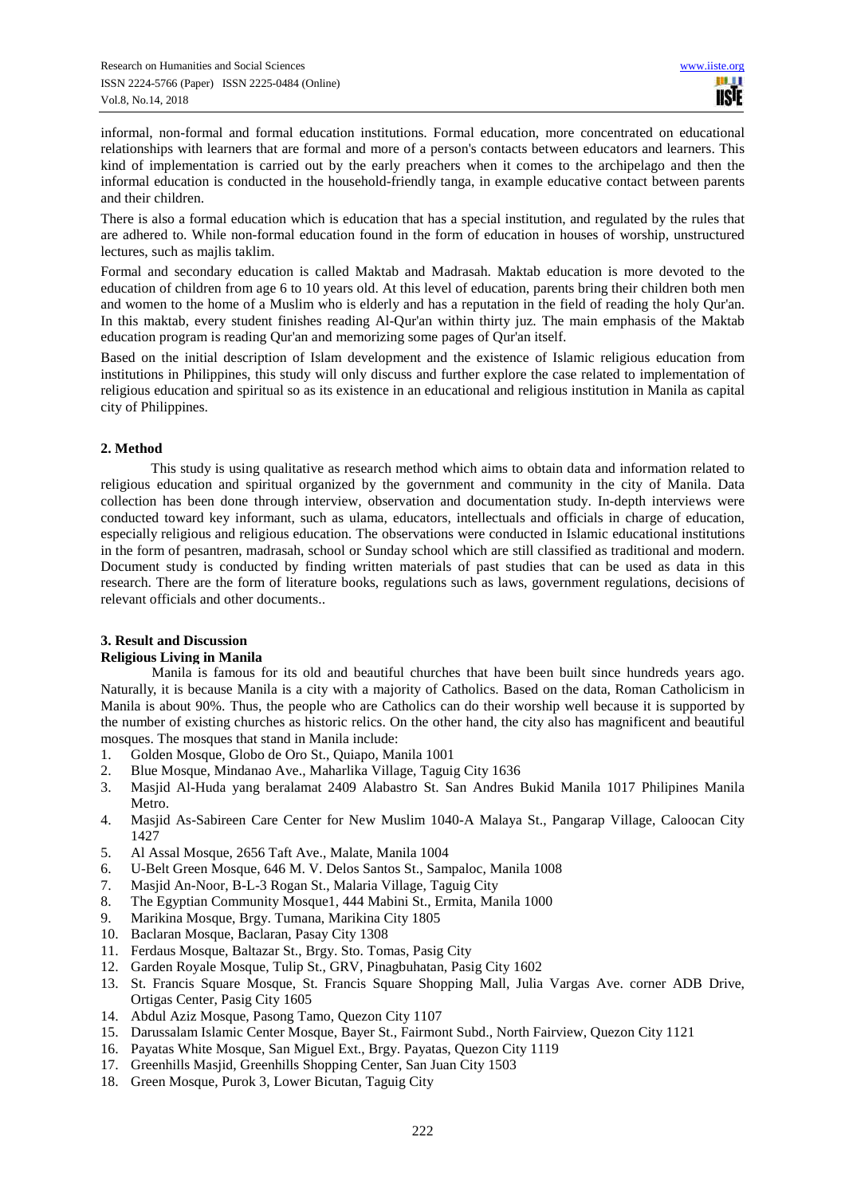informal, non-formal and formal education institutions. Formal education, more concentrated on educational relationships with learners that are formal and more of a person's contacts between educators and learners. This kind of implementation is carried out by the early preachers when it comes to the archipelago and then the informal education is conducted in the household-friendly tanga, in example educative contact between parents and their children.

There is also a formal education which is education that has a special institution, and regulated by the rules that are adhered to. While non-formal education found in the form of education in houses of worship, unstructured lectures, such as majlis taklim.

Formal and secondary education is called Maktab and Madrasah. Maktab education is more devoted to the education of children from age 6 to 10 years old. At this level of education, parents bring their children both men and women to the home of a Muslim who is elderly and has a reputation in the field of reading the holy Qur'an. In this maktab, every student finishes reading Al-Qur'an within thirty juz. The main emphasis of the Maktab education program is reading Qur'an and memorizing some pages of Qur'an itself.

Based on the initial description of Islam development and the existence of Islamic religious education from institutions in Philippines, this study will only discuss and further explore the case related to implementation of religious education and spiritual so as its existence in an educational and religious institution in Manila as capital city of Philippines.

# **2. Method**

This study is using qualitative as research method which aims to obtain data and information related to religious education and spiritual organized by the government and community in the city of Manila. Data collection has been done through interview, observation and documentation study. In-depth interviews were conducted toward key informant, such as ulama, educators, intellectuals and officials in charge of education, especially religious and religious education. The observations were conducted in Islamic educational institutions in the form of pesantren, madrasah, school or Sunday school which are still classified as traditional and modern. Document study is conducted by finding written materials of past studies that can be used as data in this research. There are the form of literature books, regulations such as laws, government regulations, decisions of relevant officials and other documents..

# **3. Result and Discussion**

# **Religious Living in Manila**

Manila is famous for its old and beautiful churches that have been built since hundreds years ago. Naturally, it is because Manila is a city with a majority of Catholics. Based on the data, Roman Catholicism in Manila is about 90%. Thus, the people who are Catholics can do their worship well because it is supported by the number of existing churches as historic relics. On the other hand, the city also has magnificent and beautiful mosques. The mosques that stand in Manila include:

- 
- 1. Golden Mosque, Globo de Oro St., Quiapo, Manila 1001 2. Blue Mosque, Mindanao Ave., Maharlika Village, Taguig City 1636
- 3. Masjid Al-Huda yang beralamat 2409 Alabastro St. San Andres Bukid Manila 1017 Philipines Manila Metro.
- 4. Masjid As-Sabireen Care Center for New Muslim 1040-A Malaya St., Pangarap Village, Caloocan City 1427
- 5. Al Assal Mosque, 2656 Taft Ave., Malate, Manila 1004
- 6. U-Belt Green Mosque, 646 M. V. Delos Santos St., Sampaloc, Manila 1008
- 7. Masjid An-Noor, B-L-3 Rogan St., Malaria Village, Taguig City
- 8. The Egyptian Community Mosque1, 444 Mabini St., Ermita, Manila 1000
- 9. Marikina Mosque, Brgy. Tumana, Marikina City 1805
- 10. Baclaran Mosque, Baclaran, Pasay City 1308
- 11. Ferdaus Mosque, Baltazar St., Brgy. Sto. Tomas, Pasig City
- 12. Garden Royale Mosque, Tulip St., GRV, Pinagbuhatan, Pasig City 1602
- 13. St. Francis Square Mosque, St. Francis Square Shopping Mall, Julia Vargas Ave. corner ADB Drive, Ortigas Center, Pasig City 1605
- 14. Abdul Aziz Mosque, Pasong Tamo, Quezon City 1107
- 15. Darussalam Islamic Center Mosque, Bayer St., Fairmont Subd., North Fairview, Quezon City 1121
- 16. Payatas White Mosque, San Miguel Ext., Brgy. Payatas, Quezon City 1119
- 17. Greenhills Masjid, Greenhills Shopping Center, San Juan City 1503
- 18. Green Mosque, Purok 3, Lower Bicutan, Taguig City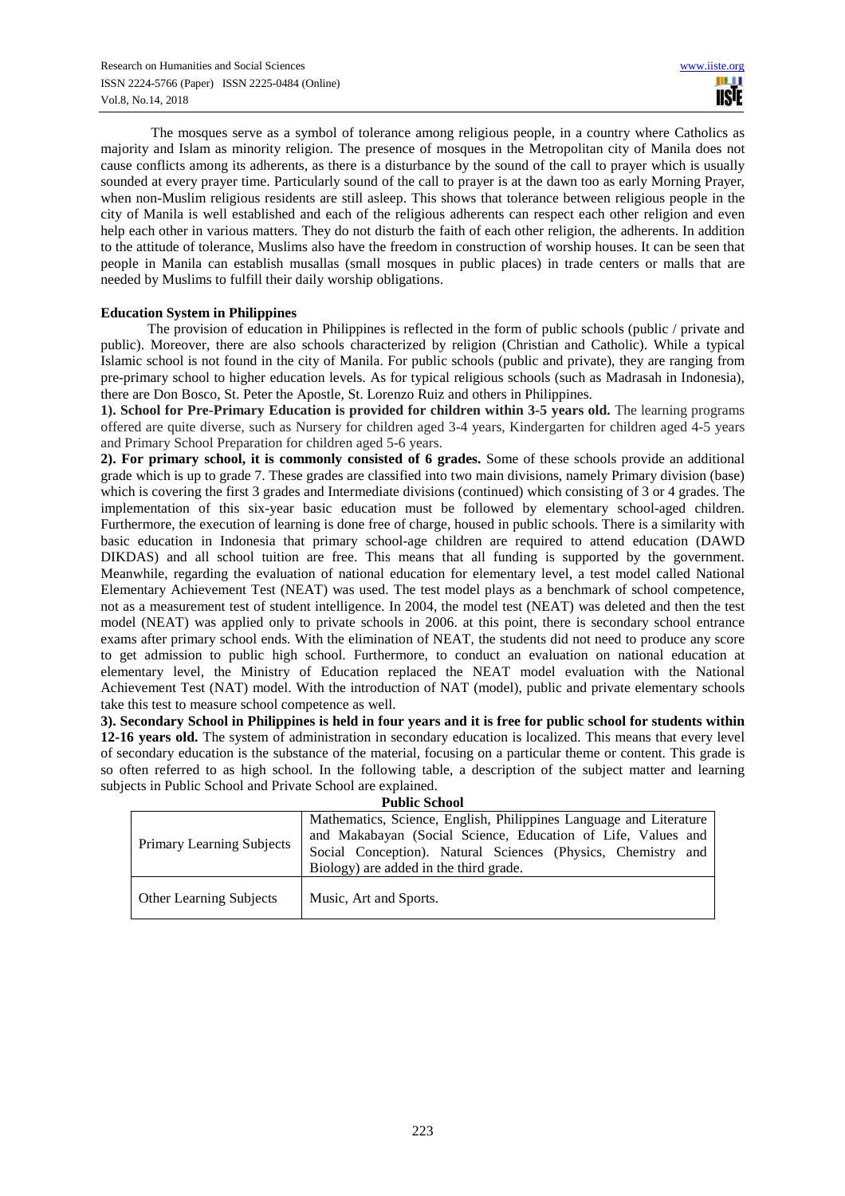The mosques serve as a symbol of tolerance among religious people, in a country where Catholics as majority and Islam as minority religion. The presence of mosques in the Metropolitan city of Manila does not cause conflicts among its adherents, as there is a disturbance by the sound of the call to prayer which is usually sounded at every prayer time. Particularly sound of the call to prayer is at the dawn too as early Morning Prayer, when non-Muslim religious residents are still asleep. This shows that tolerance between religious people in the city of Manila is well established and each of the religious adherents can respect each other religion and even help each other in various matters. They do not disturb the faith of each other religion, the adherents. In addition to the attitude of tolerance, Muslims also have the freedom in construction of worship houses. It can be seen that people in Manila can establish musallas (small mosques in public places) in trade centers or malls that are needed by Muslims to fulfill their daily worship obligations.

# **Education System in Philippines**

The provision of education in Philippines is reflected in the form of public schools (public / private and public). Moreover, there are also schools characterized by religion (Christian and Catholic). While a typical Islamic school is not found in the city of Manila. For public schools (public and private), they are ranging from pre-primary school to higher education levels. As for typical religious schools (such as Madrasah in Indonesia), there are Don Bosco, St. Peter the Apostle, St. Lorenzo Ruiz and others in Philippines.

**1). School for Pre-Primary Education is provided for children within 3-5 years old.** The learning programs offered are quite diverse, such as Nursery for children aged 3-4 years, Kindergarten for children aged 4-5 years and Primary School Preparation for children aged 5-6 years.

**2). For primary school, it is commonly consisted of 6 grades.** Some of these schools provide an additional grade which is up to grade 7. These grades are classified into two main divisions, namely Primary division (base) which is covering the first 3 grades and Intermediate divisions (continued) which consisting of 3 or 4 grades. The implementation of this six-year basic education must be followed by elementary school-aged children. Furthermore, the execution of learning is done free of charge, housed in public schools. There is a similarity with basic education in Indonesia that primary school-age children are required to attend education (DAWD DIKDAS) and all school tuition are free. This means that all funding is supported by the government. Meanwhile, regarding the evaluation of national education for elementary level, a test model called National Elementary Achievement Test (NEAT) was used. The test model plays as a benchmark of school competence, not as a measurement test of student intelligence. In 2004, the model test (NEAT) was deleted and then the test model (NEAT) was applied only to private schools in 2006. at this point, there is secondary school entrance exams after primary school ends. With the elimination of NEAT, the students did not need to produce any score to get admission to public high school. Furthermore, to conduct an evaluation on national education at elementary level, the Ministry of Education replaced the NEAT model evaluation with the National Achievement Test (NAT) model. With the introduction of NAT (model), public and private elementary schools take this test to measure school competence as well.

**3). Secondary School in Philippines is held in four years and it is free for public school for students within 12-16 years old.** The system of administration in secondary education is localized. This means that every level of secondary education is the substance of the material, focusing on a particular theme or content. This grade is so often referred to as high school. In the following table, a description of the subject matter and learning subjects in Public School and Private School are explained.

| <b>Public School</b>             |                                                                                                                                                                                                                                              |  |  |  |
|----------------------------------|----------------------------------------------------------------------------------------------------------------------------------------------------------------------------------------------------------------------------------------------|--|--|--|
| <b>Primary Learning Subjects</b> | Mathematics, Science, English, Philippines Language and Literature<br>and Makabayan (Social Science, Education of Life, Values and<br>Social Conception). Natural Sciences (Physics, Chemistry and<br>Biology) are added in the third grade. |  |  |  |
| <b>Other Learning Subjects</b>   | Music, Art and Sports.                                                                                                                                                                                                                       |  |  |  |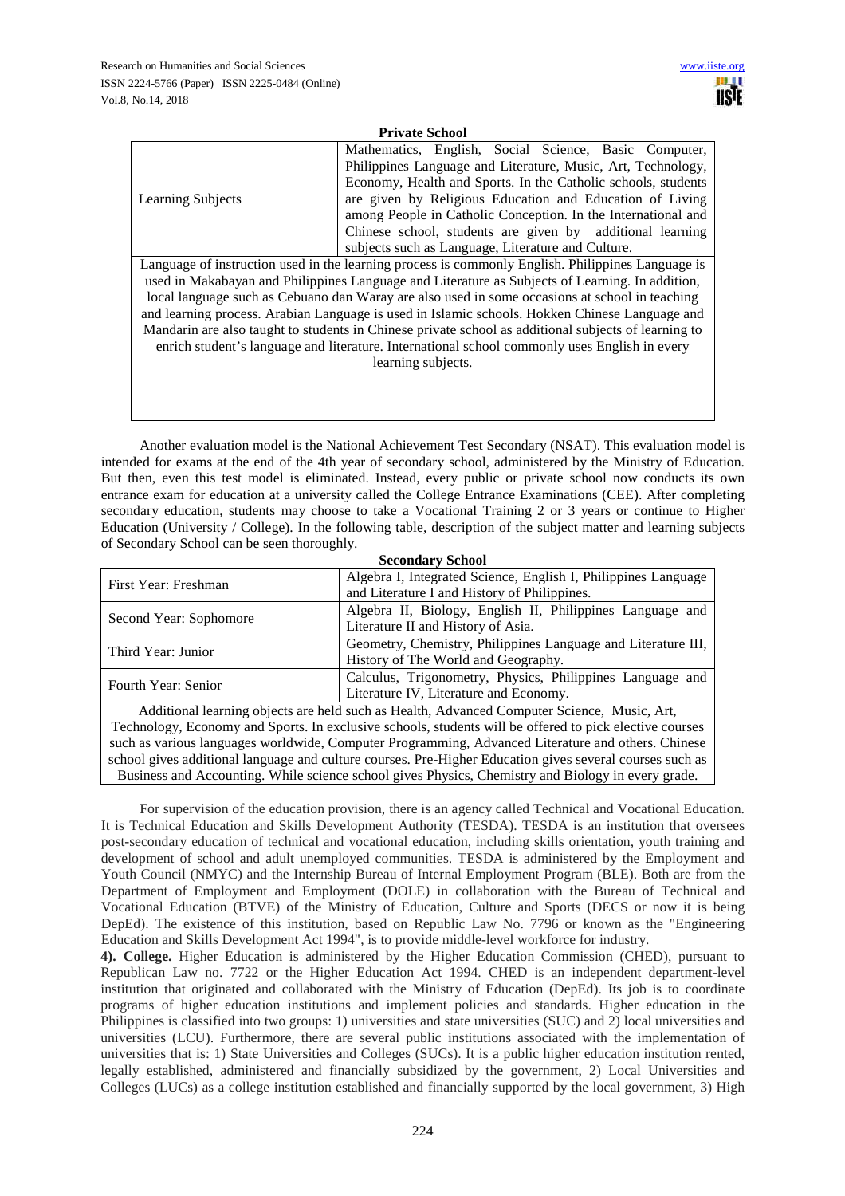| <b>Private School</b>    |                                                               |  |  |  |
|--------------------------|---------------------------------------------------------------|--|--|--|
|                          | Mathematics, English, Social Science, Basic Computer,         |  |  |  |
|                          | Philippines Language and Literature, Music, Art, Technology,  |  |  |  |
|                          | Economy, Health and Sports. In the Catholic schools, students |  |  |  |
| <b>Learning Subjects</b> | are given by Religious Education and Education of Living      |  |  |  |
|                          | among People in Catholic Conception. In the International and |  |  |  |
|                          | Chinese school, students are given by additional learning     |  |  |  |
|                          | subjects such as Language, Literature and Culture.            |  |  |  |
| $\sim$ $\cdot$           |                                                               |  |  |  |

Language of instruction used in the learning process is commonly English. Philippines Language is used in Makabayan and Philippines Language and Literature as Subjects of Learning. In addition, local language such as Cebuano dan Waray are also used in some occasions at school in teaching and learning process. Arabian Language is used in Islamic schools. Hokken Chinese Language and Mandarin are also taught to students in Chinese private school as additional subjects of learning to enrich student's language and literature. International school commonly uses English in every learning subjects.

Another evaluation model is the National Achievement Test Secondary (NSAT). This evaluation model is intended for exams at the end of the 4th year of secondary school, administered by the Ministry of Education. But then, even this test model is eliminated. Instead, every public or private school now conducts its own entrance exam for education at a university called the College Entrance Examinations (CEE). After completing secondary education, students may choose to take a Vocational Training 2 or 3 years or continue to Higher Education (University / College). In the following table, description of the subject matter and learning subjects of Secondary School can be seen thoroughly.

| <b>Secondary School</b> |                                                                                                         |  |  |  |
|-------------------------|---------------------------------------------------------------------------------------------------------|--|--|--|
| First Year: Freshman    | Algebra I, Integrated Science, English I, Philippines Language                                          |  |  |  |
|                         | and Literature I and History of Philippines.                                                            |  |  |  |
| Second Year: Sophomore  | Algebra II, Biology, English II, Philippines Language and                                               |  |  |  |
|                         | Literature II and History of Asia.                                                                      |  |  |  |
| Third Year: Junior      | Geometry, Chemistry, Philippines Language and Literature III,                                           |  |  |  |
|                         | History of The World and Geography.                                                                     |  |  |  |
| Fourth Year: Senior     | Calculus, Trigonometry, Physics, Philippines Language and                                               |  |  |  |
|                         | Literature IV, Literature and Economy.                                                                  |  |  |  |
|                         | Additional learning objects are held such as Health, Advanced Computer Science, Music, Art,             |  |  |  |
|                         | Technology Economy and Sports, In evolutive schools, students will be offered to night elective courses |  |  |  |

Technology, Economy and Sports. In exclusive schools, students will be offered to pick elective courses such as various languages worldwide, Computer Programming, Advanced Literature and others. Chinese school gives additional language and culture courses. Pre-Higher Education gives several courses such as Business and Accounting. While science school gives Physics, Chemistry and Biology in every grade.

For supervision of the education provision, there is an agency called Technical and Vocational Education. It is Technical Education and Skills Development Authority (TESDA). TESDA is an institution that oversees post-secondary education of technical and vocational education, including skills orientation, youth training and development of school and adult unemployed communities. TESDA is administered by the Employment and Youth Council (NMYC) and the Internship Bureau of Internal Employment Program (BLE). Both are from the Department of Employment and Employment (DOLE) in collaboration with the Bureau of Technical and Vocational Education (BTVE) of the Ministry of Education, Culture and Sports (DECS or now it is being DepEd). The existence of this institution, based on Republic Law No. 7796 or known as the "Engineering Education and Skills Development Act 1994", is to provide middle-level workforce for industry.

**4). College.** Higher Education is administered by the Higher Education Commission (CHED), pursuant to Republican Law no. 7722 or the Higher Education Act 1994. CHED is an independent department-level institution that originated and collaborated with the Ministry of Education (DepEd). Its job is to coordinate programs of higher education institutions and implement policies and standards. Higher education in the Philippines is classified into two groups: 1) universities and state universities (SUC) and 2) local universities and universities (LCU). Furthermore, there are several public institutions associated with the implementation of universities that is: 1) State Universities and Colleges (SUCs). It is a public higher education institution rented, legally established, administered and financially subsidized by the government, 2) Local Universities and Colleges (LUCs) as a college institution established and financially supported by the local government, 3) High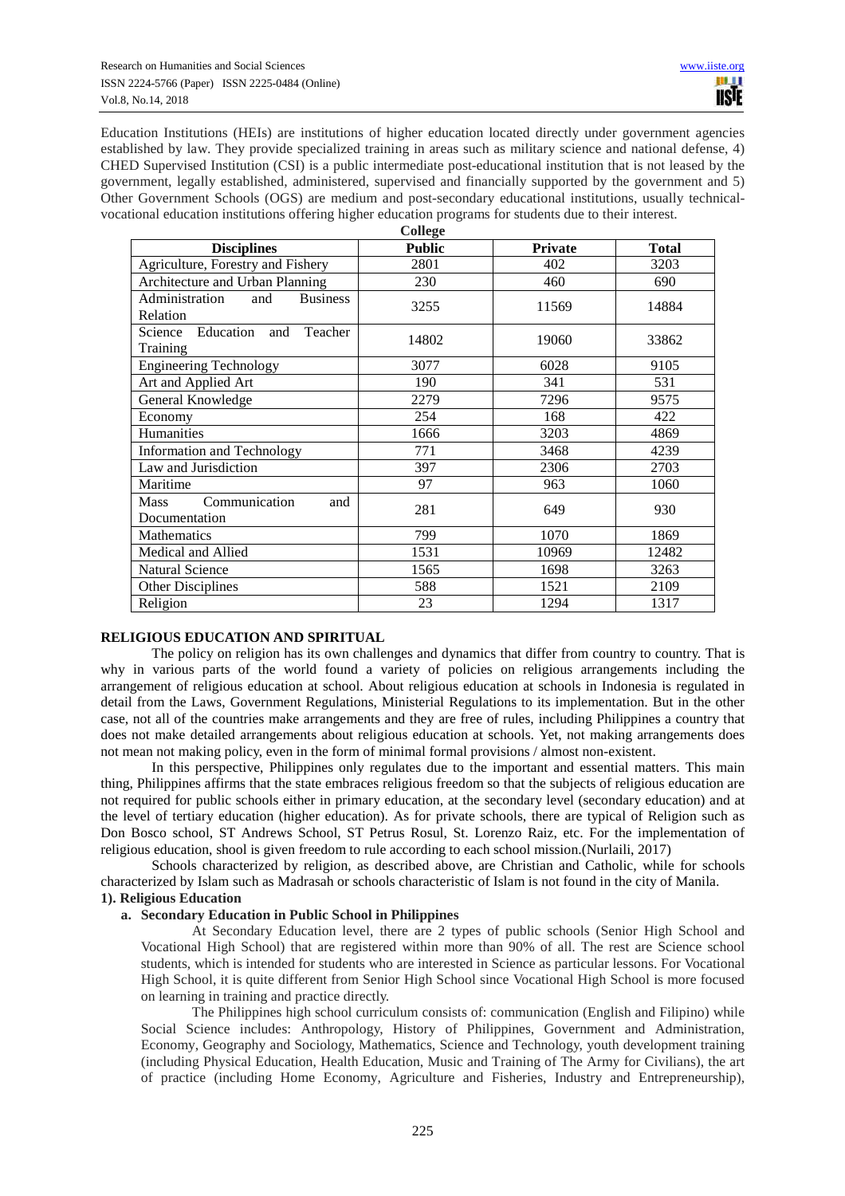Education Institutions (HEIs) are institutions of higher education located directly under government agencies established by law. They provide specialized training in areas such as military science and national defense, 4) CHED Supervised Institution (CSI) is a public intermediate post-educational institution that is not leased by the government, legally established, administered, supervised and financially supported by the government and 5) Other Government Schools (OGS) are medium and post-secondary educational institutions, usually technicalvocational education institutions offering higher education programs for students due to their interest.

| College                                              |               |                |              |  |  |  |
|------------------------------------------------------|---------------|----------------|--------------|--|--|--|
| <b>Disciplines</b>                                   | <b>Public</b> | <b>Private</b> | <b>Total</b> |  |  |  |
| Agriculture, Forestry and Fishery                    | 2801          | 402            | 3203         |  |  |  |
| Architecture and Urban Planning                      | 230           | 460            | 690          |  |  |  |
| Administration<br><b>Business</b><br>and<br>Relation | 3255          | 11569          | 14884        |  |  |  |
| Science<br>Education<br>Teacher<br>and<br>Training   | 14802         | 19060          | 33862        |  |  |  |
| <b>Engineering Technology</b>                        | 3077          | 6028           | 9105         |  |  |  |
| Art and Applied Art                                  | 190           | 341            | 531          |  |  |  |
| General Knowledge                                    | 2279          | 7296           | 9575         |  |  |  |
| Economy                                              | 254           | 168            | 422          |  |  |  |
| Humanities                                           | 1666          | 3203           | 4869         |  |  |  |
| <b>Information and Technology</b>                    | 771           | 3468           | 4239         |  |  |  |
| Law and Jurisdiction                                 | 397           | 2306           | 2703         |  |  |  |
| Maritime                                             | 97            | 963            | 1060         |  |  |  |
| Communication<br><b>Mass</b><br>and<br>Documentation | 281           | 649            | 930          |  |  |  |
| Mathematics                                          | 799           | 1070           | 1869         |  |  |  |
| Medical and Allied                                   | 1531          | 10969          | 12482        |  |  |  |
| <b>Natural Science</b>                               | 1565          | 1698           | 3263         |  |  |  |
| Other Disciplines                                    | 588           | 1521           | 2109         |  |  |  |
| Religion                                             | 23            | 1294           | 1317         |  |  |  |

#### **RELIGIOUS EDUCATION AND SPIRITUAL**

The policy on religion has its own challenges and dynamics that differ from country to country. That is why in various parts of the world found a variety of policies on religious arrangements including the arrangement of religious education at school. About religious education at schools in Indonesia is regulated in detail from the Laws, Government Regulations, Ministerial Regulations to its implementation. But in the other case, not all of the countries make arrangements and they are free of rules, including Philippines a country that does not make detailed arrangements about religious education at schools. Yet, not making arrangements does not mean not making policy, even in the form of minimal formal provisions / almost non-existent.

In this perspective, Philippines only regulates due to the important and essential matters. This main thing, Philippines affirms that the state embraces religious freedom so that the subjects of religious education are not required for public schools either in primary education, at the secondary level (secondary education) and at the level of tertiary education (higher education). As for private schools, there are typical of Religion such as Don Bosco school, ST Andrews School, ST Petrus Rosul, St. Lorenzo Raiz, etc. For the implementation of religious education, shool is given freedom to rule according to each school mission.(Nurlaili, 2017)

Schools characterized by religion, as described above, are Christian and Catholic, while for schools characterized by Islam such as Madrasah or schools characteristic of Islam is not found in the city of Manila. **1). Religious Education** 

#### **a. Secondary Education in Public School in Philippines**

At Secondary Education level, there are 2 types of public schools (Senior High School and Vocational High School) that are registered within more than 90% of all. The rest are Science school students, which is intended for students who are interested in Science as particular lessons. For Vocational High School, it is quite different from Senior High School since Vocational High School is more focused on learning in training and practice directly.

The Philippines high school curriculum consists of: communication (English and Filipino) while Social Science includes: Anthropology, History of Philippines, Government and Administration, Economy, Geography and Sociology, Mathematics, Science and Technology, youth development training (including Physical Education, Health Education, Music and Training of The Army for Civilians), the art of practice (including Home Economy, Agriculture and Fisheries, Industry and Entrepreneurship),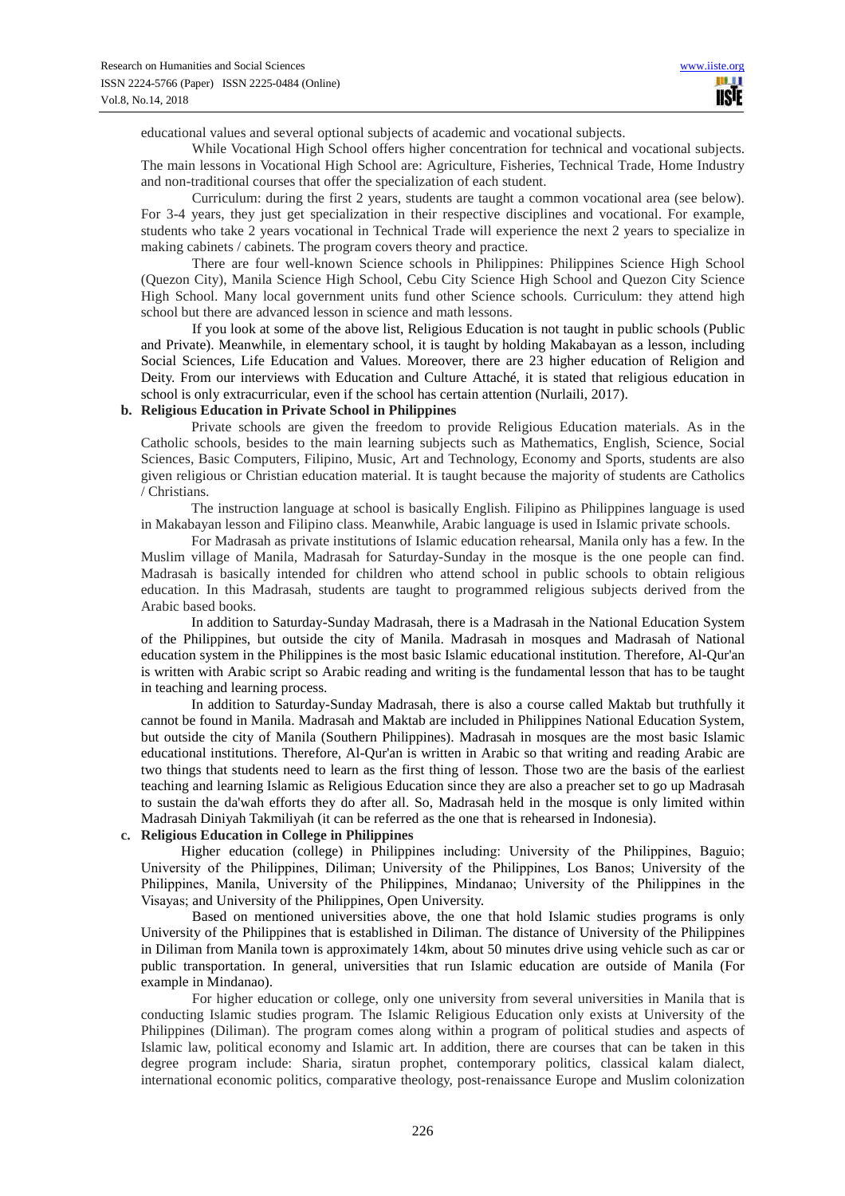educational values and several optional subjects of academic and vocational subjects.

While Vocational High School offers higher concentration for technical and vocational subjects. The main lessons in Vocational High School are: Agriculture, Fisheries, Technical Trade, Home Industry and non-traditional courses that offer the specialization of each student.

Curriculum: during the first 2 years, students are taught a common vocational area (see below). For 3-4 years, they just get specialization in their respective disciplines and vocational. For example, students who take 2 years vocational in Technical Trade will experience the next 2 years to specialize in making cabinets / cabinets. The program covers theory and practice.

There are four well-known Science schools in Philippines: Philippines Science High School (Quezon City), Manila Science High School, Cebu City Science High School and Quezon City Science High School. Many local government units fund other Science schools. Curriculum: they attend high school but there are advanced lesson in science and math lessons.

If you look at some of the above list, Religious Education is not taught in public schools (Public and Private). Meanwhile, in elementary school, it is taught by holding Makabayan as a lesson, including Social Sciences, Life Education and Values. Moreover, there are 23 higher education of Religion and Deity. From our interviews with Education and Culture Attaché, it is stated that religious education in school is only extracurricular, even if the school has certain attention (Nurlaili, 2017).

# **b. Religious Education in Private School in Philippines**

Private schools are given the freedom to provide Religious Education materials. As in the Catholic schools, besides to the main learning subjects such as Mathematics, English, Science, Social Sciences, Basic Computers, Filipino, Music, Art and Technology, Economy and Sports, students are also given religious or Christian education material. It is taught because the majority of students are Catholics / Christians.

The instruction language at school is basically English. Filipino as Philippines language is used in Makabayan lesson and Filipino class. Meanwhile, Arabic language is used in Islamic private schools.

For Madrasah as private institutions of Islamic education rehearsal, Manila only has a few. In the Muslim village of Manila, Madrasah for Saturday-Sunday in the mosque is the one people can find. Madrasah is basically intended for children who attend school in public schools to obtain religious education. In this Madrasah, students are taught to programmed religious subjects derived from the Arabic based books.

In addition to Saturday-Sunday Madrasah, there is a Madrasah in the National Education System of the Philippines, but outside the city of Manila. Madrasah in mosques and Madrasah of National education system in the Philippines is the most basic Islamic educational institution. Therefore, Al-Qur'an is written with Arabic script so Arabic reading and writing is the fundamental lesson that has to be taught in teaching and learning process.

In addition to Saturday-Sunday Madrasah, there is also a course called Maktab but truthfully it cannot be found in Manila. Madrasah and Maktab are included in Philippines National Education System, but outside the city of Manila (Southern Philippines). Madrasah in mosques are the most basic Islamic educational institutions. Therefore, Al-Qur'an is written in Arabic so that writing and reading Arabic are two things that students need to learn as the first thing of lesson. Those two are the basis of the earliest teaching and learning Islamic as Religious Education since they are also a preacher set to go up Madrasah to sustain the da'wah efforts they do after all. So, Madrasah held in the mosque is only limited within Madrasah Diniyah Takmiliyah (it can be referred as the one that is rehearsed in Indonesia).

# **c. Religious Education in College in Philippines**

Higher education (college) in Philippines including: University of the Philippines, Baguio; University of the Philippines, Diliman; University of the Philippines, Los Banos; University of the Philippines, Manila, University of the Philippines, Mindanao; University of the Philippines in the Visayas; and University of the Philippines, Open University.

Based on mentioned universities above, the one that hold Islamic studies programs is only University of the Philippines that is established in Diliman. The distance of University of the Philippines in Diliman from Manila town is approximately 14km, about 50 minutes drive using vehicle such as car or public transportation. In general, universities that run Islamic education are outside of Manila (For example in Mindanao).

For higher education or college, only one university from several universities in Manila that is conducting Islamic studies program. The Islamic Religious Education only exists at University of the Philippines (Diliman). The program comes along within a program of political studies and aspects of Islamic law, political economy and Islamic art. In addition, there are courses that can be taken in this degree program include: Sharia, siratun prophet, contemporary politics, classical kalam dialect, international economic politics, comparative theology, post-renaissance Europe and Muslim colonization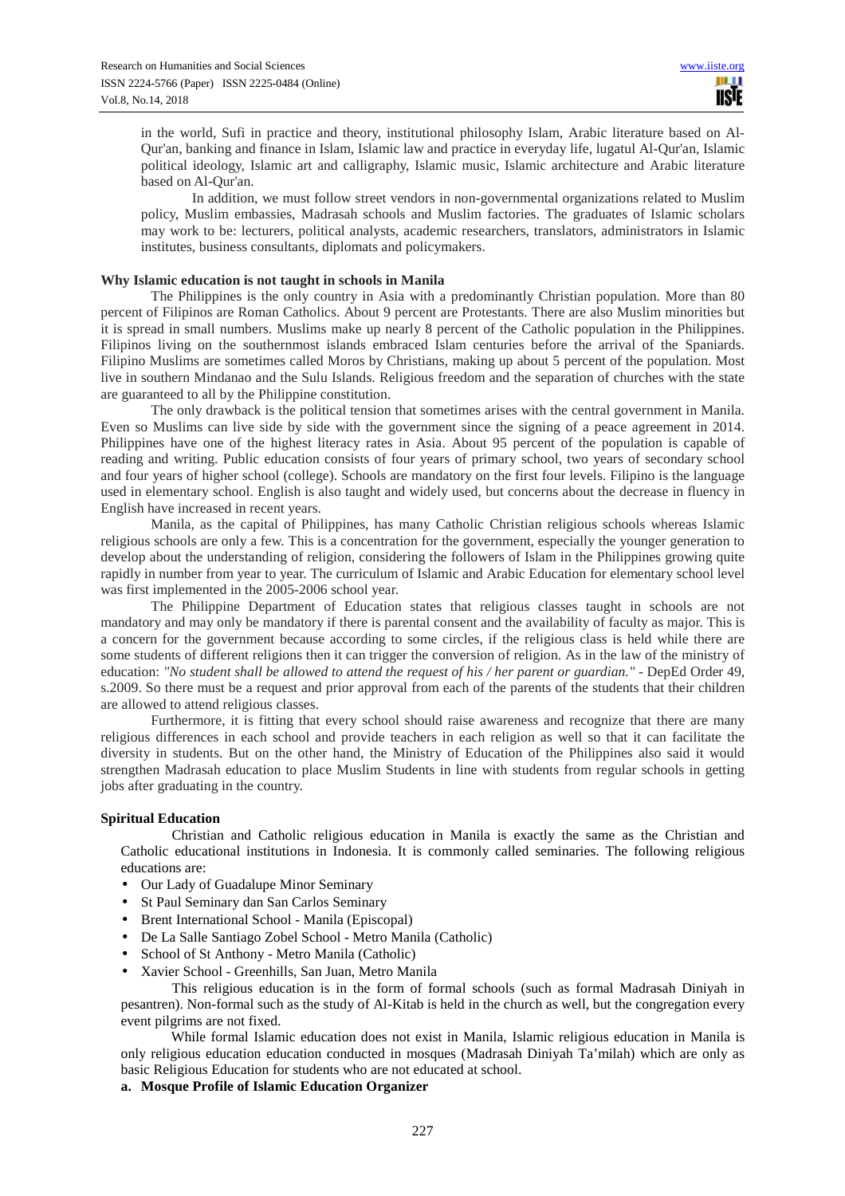in the world, Sufi in practice and theory, institutional philosophy Islam, Arabic literature based on Al-Qur'an, banking and finance in Islam, Islamic law and practice in everyday life, lugatul Al-Qur'an, Islamic political ideology, Islamic art and calligraphy, Islamic music, Islamic architecture and Arabic literature based on Al-Qur'an.

In addition, we must follow street vendors in non-governmental organizations related to Muslim policy, Muslim embassies, Madrasah schools and Muslim factories. The graduates of Islamic scholars may work to be: lecturers, political analysts, academic researchers, translators, administrators in Islamic institutes, business consultants, diplomats and policymakers.

# **Why Islamic education is not taught in schools in Manila**

The Philippines is the only country in Asia with a predominantly Christian population. More than 80 percent of Filipinos are Roman Catholics. About 9 percent are Protestants. There are also Muslim minorities but it is spread in small numbers. Muslims make up nearly 8 percent of the Catholic population in the Philippines. Filipinos living on the southernmost islands embraced Islam centuries before the arrival of the Spaniards. Filipino Muslims are sometimes called Moros by Christians, making up about 5 percent of the population. Most live in southern Mindanao and the Sulu Islands. Religious freedom and the separation of churches with the state are guaranteed to all by the Philippine constitution.

The only drawback is the political tension that sometimes arises with the central government in Manila. Even so Muslims can live side by side with the government since the signing of a peace agreement in 2014. Philippines have one of the highest literacy rates in Asia. About 95 percent of the population is capable of reading and writing. Public education consists of four years of primary school, two years of secondary school and four years of higher school (college). Schools are mandatory on the first four levels. Filipino is the language used in elementary school. English is also taught and widely used, but concerns about the decrease in fluency in English have increased in recent years.

Manila, as the capital of Philippines, has many Catholic Christian religious schools whereas Islamic religious schools are only a few. This is a concentration for the government, especially the younger generation to develop about the understanding of religion, considering the followers of Islam in the Philippines growing quite rapidly in number from year to year. The curriculum of Islamic and Arabic Education for elementary school level was first implemented in the 2005-2006 school year.

The Philippine Department of Education states that religious classes taught in schools are not mandatory and may only be mandatory if there is parental consent and the availability of faculty as major. This is a concern for the government because according to some circles, if the religious class is held while there are some students of different religions then it can trigger the conversion of religion. As in the law of the ministry of education: *"No student shall be allowed to attend the request of his / her parent or guardian."* - DepEd Order 49, s.2009. So there must be a request and prior approval from each of the parents of the students that their children are allowed to attend religious classes.

Furthermore, it is fitting that every school should raise awareness and recognize that there are many religious differences in each school and provide teachers in each religion as well so that it can facilitate the diversity in students. But on the other hand, the Ministry of Education of the Philippines also said it would strengthen Madrasah education to place Muslim Students in line with students from regular schools in getting jobs after graduating in the country.

#### **Spiritual Education**

Christian and Catholic religious education in Manila is exactly the same as the Christian and Catholic educational institutions in Indonesia. It is commonly called seminaries. The following religious educations are:

- Our Lady of Guadalupe Minor Seminary
- St Paul Seminary dan San Carlos Seminary
- Brent International School Manila (Episcopal)
- De La Salle Santiago Zobel School Metro Manila (Catholic)
- School of St Anthony Metro Manila (Catholic)
- Xavier School Greenhills, San Juan, Metro Manila

This religious education is in the form of formal schools (such as formal Madrasah Diniyah in pesantren). Non-formal such as the study of Al-Kitab is held in the church as well, but the congregation every event pilgrims are not fixed.

While formal Islamic education does not exist in Manila, Islamic religious education in Manila is only religious education education conducted in mosques (Madrasah Diniyah Ta'milah) which are only as basic Religious Education for students who are not educated at school.

#### **a. Mosque Profile of Islamic Education Organizer**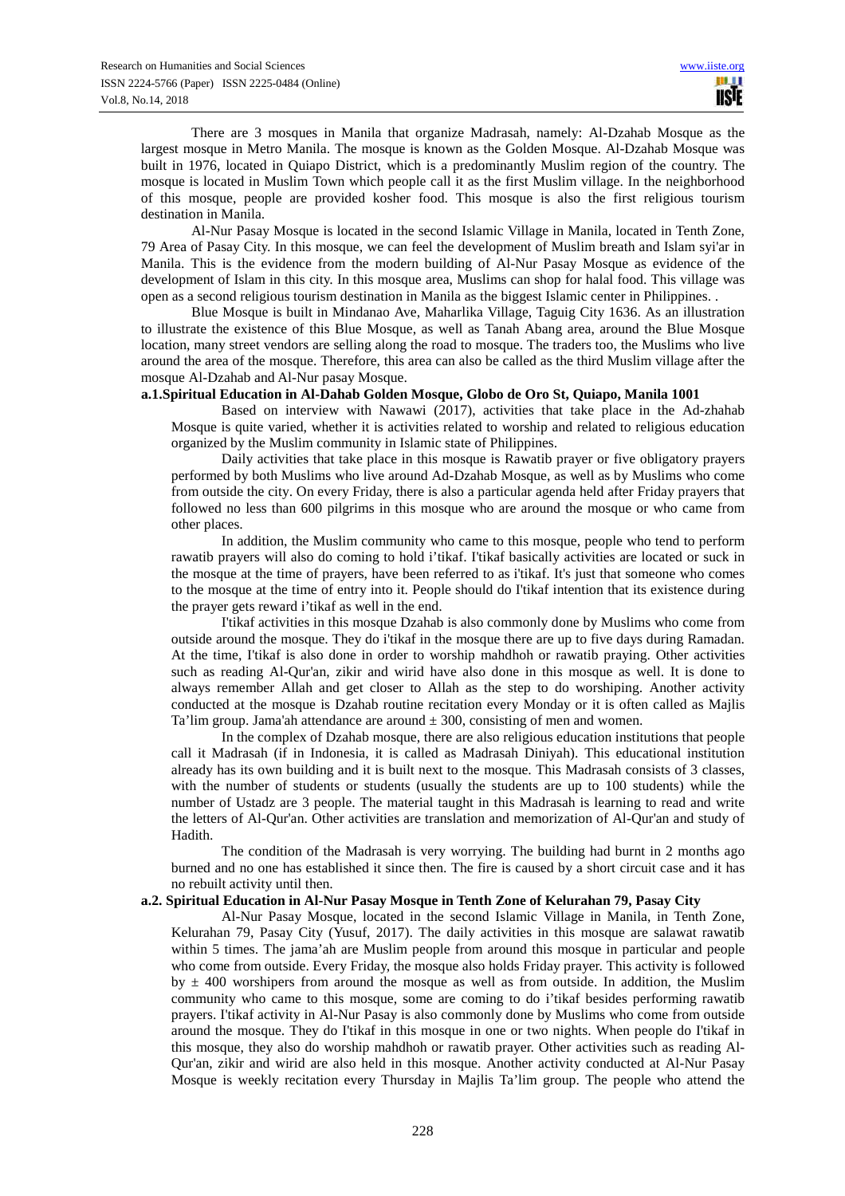There are 3 mosques in Manila that organize Madrasah, namely: Al-Dzahab Mosque as the largest mosque in Metro Manila. The mosque is known as the Golden Mosque. Al-Dzahab Mosque was built in 1976, located in Quiapo District, which is a predominantly Muslim region of the country. The mosque is located in Muslim Town which people call it as the first Muslim village. In the neighborhood of this mosque, people are provided kosher food. This mosque is also the first religious tourism destination in Manila.

Al-Nur Pasay Mosque is located in the second Islamic Village in Manila, located in Tenth Zone, 79 Area of Pasay City. In this mosque, we can feel the development of Muslim breath and Islam syi'ar in Manila. This is the evidence from the modern building of Al-Nur Pasay Mosque as evidence of the development of Islam in this city. In this mosque area, Muslims can shop for halal food. This village was open as a second religious tourism destination in Manila as the biggest Islamic center in Philippines. .

Blue Mosque is built in Mindanao Ave, Maharlika Village, Taguig City 1636. As an illustration to illustrate the existence of this Blue Mosque, as well as Tanah Abang area, around the Blue Mosque location, many street vendors are selling along the road to mosque. The traders too, the Muslims who live around the area of the mosque. Therefore, this area can also be called as the third Muslim village after the mosque Al-Dzahab and Al-Nur pasay Mosque.

#### **a.1.Spiritual Education in Al-Dahab Golden Mosque, Globo de Oro St, Quiapo, Manila 1001**

Based on interview with Nawawi (2017), activities that take place in the Ad-zhahab Mosque is quite varied, whether it is activities related to worship and related to religious education organized by the Muslim community in Islamic state of Philippines.

Daily activities that take place in this mosque is Rawatib prayer or five obligatory prayers performed by both Muslims who live around Ad-Dzahab Mosque, as well as by Muslims who come from outside the city. On every Friday, there is also a particular agenda held after Friday prayers that followed no less than 600 pilgrims in this mosque who are around the mosque or who came from other places.

In addition, the Muslim community who came to this mosque, people who tend to perform rawatib prayers will also do coming to hold i'tikaf. I'tikaf basically activities are located or suck in the mosque at the time of prayers, have been referred to as i'tikaf. It's just that someone who comes to the mosque at the time of entry into it. People should do I'tikaf intention that its existence during the prayer gets reward i'tikaf as well in the end.

I'tikaf activities in this mosque Dzahab is also commonly done by Muslims who come from outside around the mosque. They do i'tikaf in the mosque there are up to five days during Ramadan. At the time, I'tikaf is also done in order to worship mahdhoh or rawatib praying. Other activities such as reading Al-Qur'an, zikir and wirid have also done in this mosque as well. It is done to always remember Allah and get closer to Allah as the step to do worshiping. Another activity conducted at the mosque is Dzahab routine recitation every Monday or it is often called as Majlis Ta'lim group. Jama'ah attendance are around  $\pm 300$ , consisting of men and women.

In the complex of Dzahab mosque, there are also religious education institutions that people call it Madrasah (if in Indonesia, it is called as Madrasah Diniyah). This educational institution already has its own building and it is built next to the mosque. This Madrasah consists of 3 classes, with the number of students or students (usually the students are up to 100 students) while the number of Ustadz are 3 people. The material taught in this Madrasah is learning to read and write the letters of Al-Qur'an. Other activities are translation and memorization of Al-Qur'an and study of Hadith.

The condition of the Madrasah is very worrying. The building had burnt in 2 months ago burned and no one has established it since then. The fire is caused by a short circuit case and it has no rebuilt activity until then.

#### **a.2. Spiritual Education in Al-Nur Pasay Mosque in Tenth Zone of Kelurahan 79, Pasay City**

Al-Nur Pasay Mosque, located in the second Islamic Village in Manila, in Tenth Zone, Kelurahan 79, Pasay City (Yusuf, 2017). The daily activities in this mosque are salawat rawatib within 5 times. The jama'ah are Muslim people from around this mosque in particular and people who come from outside. Every Friday, the mosque also holds Friday prayer. This activity is followed by  $\pm$  400 worshipers from around the mosque as well as from outside. In addition, the Muslim community who came to this mosque, some are coming to do i'tikaf besides performing rawatib prayers. I'tikaf activity in Al-Nur Pasay is also commonly done by Muslims who come from outside around the mosque. They do I'tikaf in this mosque in one or two nights. When people do I'tikaf in this mosque, they also do worship mahdhoh or rawatib prayer. Other activities such as reading Al-Qur'an, zikir and wirid are also held in this mosque. Another activity conducted at Al-Nur Pasay Mosque is weekly recitation every Thursday in Majlis Ta'lim group. The people who attend the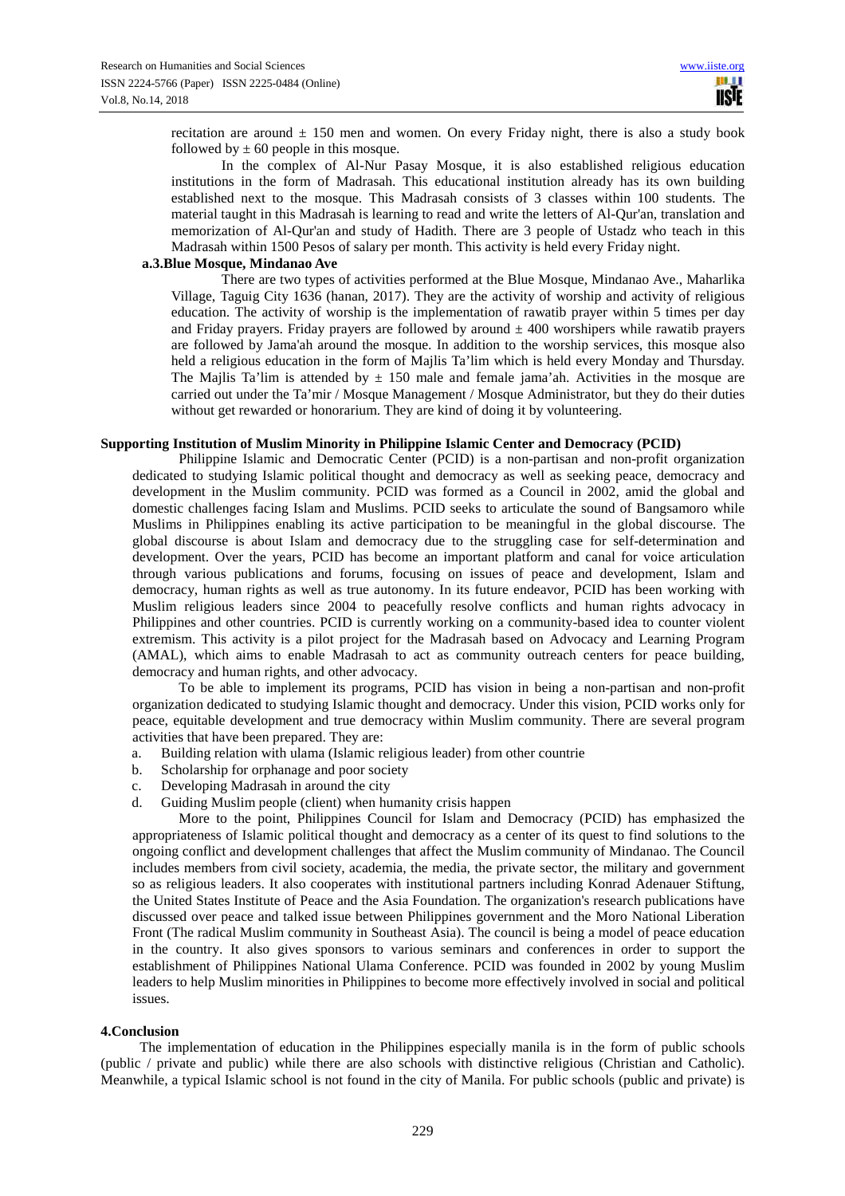recitation are around  $\pm$  150 men and women. On every Friday night, there is also a study book followed by  $\pm 60$  people in this mosque.

In the complex of Al-Nur Pasay Mosque, it is also established religious education institutions in the form of Madrasah. This educational institution already has its own building established next to the mosque. This Madrasah consists of 3 classes within 100 students. The material taught in this Madrasah is learning to read and write the letters of Al-Qur'an, translation and memorization of Al-Qur'an and study of Hadith. There are 3 people of Ustadz who teach in this Madrasah within 1500 Pesos of salary per month. This activity is held every Friday night.

#### **a.3.Blue Mosque, Mindanao Ave**

There are two types of activities performed at the Blue Mosque, Mindanao Ave., Maharlika Village, Taguig City 1636 (hanan, 2017). They are the activity of worship and activity of religious education. The activity of worship is the implementation of rawatib prayer within 5 times per day and Friday prayers. Friday prayers are followed by around  $\pm$  400 worshipers while rawatib prayers are followed by Jama'ah around the mosque. In addition to the worship services, this mosque also held a religious education in the form of Majlis Ta'lim which is held every Monday and Thursday. The Majlis Ta'lim is attended by  $\pm$  150 male and female jama'ah. Activities in the mosque are carried out under the Ta'mir / Mosque Management / Mosque Administrator, but they do their duties without get rewarded or honorarium. They are kind of doing it by volunteering.

#### **Supporting Institution of Muslim Minority in Philippine Islamic Center and Democracy (PCID)**

Philippine Islamic and Democratic Center (PCID) is a non-partisan and non-profit organization dedicated to studying Islamic political thought and democracy as well as seeking peace, democracy and development in the Muslim community. PCID was formed as a Council in 2002, amid the global and domestic challenges facing Islam and Muslims. PCID seeks to articulate the sound of Bangsamoro while Muslims in Philippines enabling its active participation to be meaningful in the global discourse. The global discourse is about Islam and democracy due to the struggling case for self-determination and development. Over the years, PCID has become an important platform and canal for voice articulation through various publications and forums, focusing on issues of peace and development, Islam and democracy, human rights as well as true autonomy. In its future endeavor, PCID has been working with Muslim religious leaders since 2004 to peacefully resolve conflicts and human rights advocacy in Philippines and other countries. PCID is currently working on a community-based idea to counter violent extremism. This activity is a pilot project for the Madrasah based on Advocacy and Learning Program (AMAL), which aims to enable Madrasah to act as community outreach centers for peace building, democracy and human rights, and other advocacy.

To be able to implement its programs, PCID has vision in being a non-partisan and non-profit organization dedicated to studying Islamic thought and democracy. Under this vision, PCID works only for peace, equitable development and true democracy within Muslim community. There are several program activities that have been prepared. They are:

- a. Building relation with ulama (Islamic religious leader) from other countrie
- b. Scholarship for orphanage and poor society
- c. Developing Madrasah in around the city
- d. Guiding Muslim people (client) when humanity crisis happen

More to the point, Philippines Council for Islam and Democracy (PCID) has emphasized the appropriateness of Islamic political thought and democracy as a center of its quest to find solutions to the ongoing conflict and development challenges that affect the Muslim community of Mindanao. The Council includes members from civil society, academia, the media, the private sector, the military and government so as religious leaders. It also cooperates with institutional partners including Konrad Adenauer Stiftung, the United States Institute of Peace and the Asia Foundation. The organization's research publications have discussed over peace and talked issue between Philippines government and the Moro National Liberation Front (The radical Muslim community in Southeast Asia). The council is being a model of peace education in the country. It also gives sponsors to various seminars and conferences in order to support the establishment of Philippines National Ulama Conference. PCID was founded in 2002 by young Muslim leaders to help Muslim minorities in Philippines to become more effectively involved in social and political issues.

#### **4.Conclusion**

The implementation of education in the Philippines especially manila is in the form of public schools (public / private and public) while there are also schools with distinctive religious (Christian and Catholic). Meanwhile, a typical Islamic school is not found in the city of Manila. For public schools (public and private) is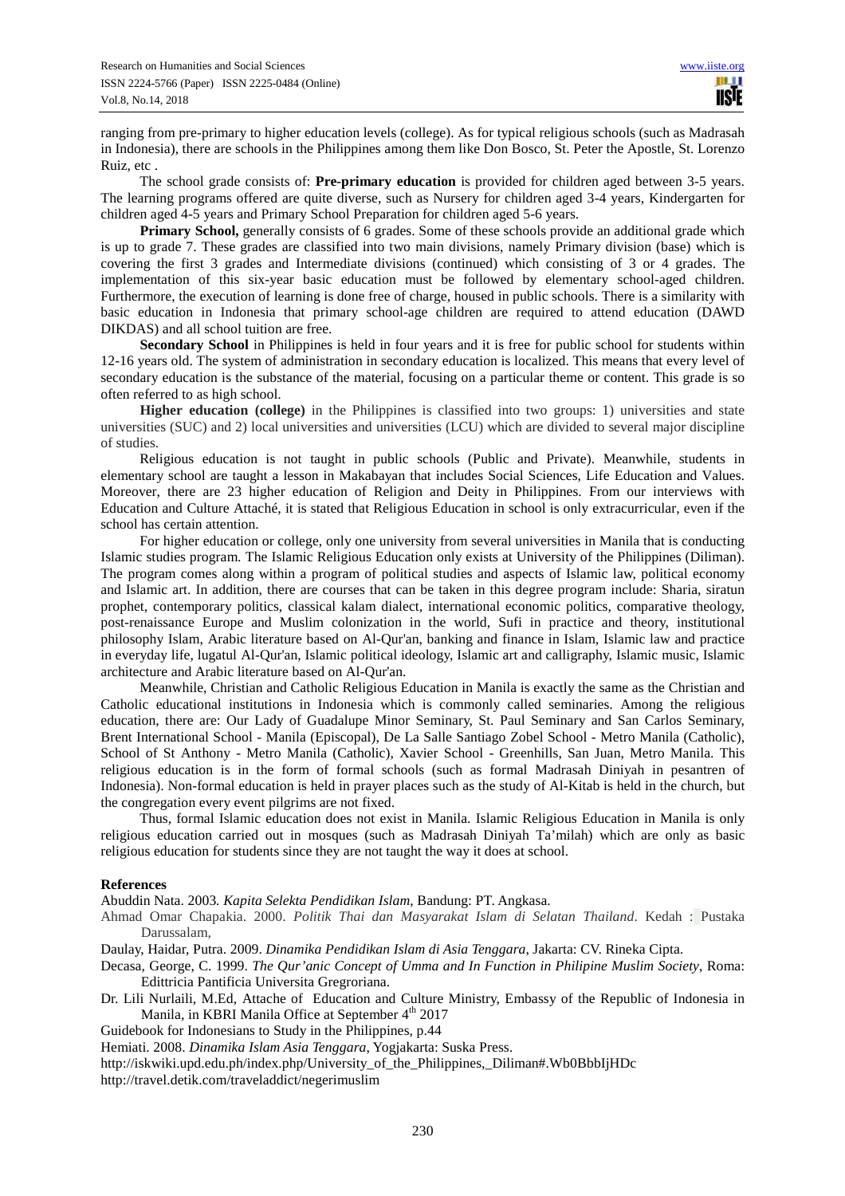ranging from pre-primary to higher education levels (college). As for typical religious schools (such as Madrasah in Indonesia), there are schools in the Philippines among them like Don Bosco, St. Peter the Apostle, St. Lorenzo Ruiz, etc .

The school grade consists of: **Pre-primary education** is provided for children aged between 3-5 years. The learning programs offered are quite diverse, such as Nursery for children aged 3-4 years, Kindergarten for children aged 4-5 years and Primary School Preparation for children aged 5-6 years.

**Primary School,** generally consists of 6 grades. Some of these schools provide an additional grade which is up to grade 7. These grades are classified into two main divisions, namely Primary division (base) which is covering the first 3 grades and Intermediate divisions (continued) which consisting of 3 or 4 grades. The implementation of this six-year basic education must be followed by elementary school-aged children. Furthermore, the execution of learning is done free of charge, housed in public schools. There is a similarity with basic education in Indonesia that primary school-age children are required to attend education (DAWD DIKDAS) and all school tuition are free.

**Secondary School** in Philippines is held in four years and it is free for public school for students within 12-16 years old. The system of administration in secondary education is localized. This means that every level of secondary education is the substance of the material, focusing on a particular theme or content. This grade is so often referred to as high school.

**Higher education (college)** in the Philippines is classified into two groups: 1) universities and state universities (SUC) and 2) local universities and universities (LCU) which are divided to several major discipline of studies.

Religious education is not taught in public schools (Public and Private). Meanwhile, students in elementary school are taught a lesson in Makabayan that includes Social Sciences, Life Education and Values. Moreover, there are 23 higher education of Religion and Deity in Philippines. From our interviews with Education and Culture Attaché, it is stated that Religious Education in school is only extracurricular, even if the school has certain attention.

For higher education or college, only one university from several universities in Manila that is conducting Islamic studies program. The Islamic Religious Education only exists at University of the Philippines (Diliman). The program comes along within a program of political studies and aspects of Islamic law, political economy and Islamic art. In addition, there are courses that can be taken in this degree program include: Sharia, siratun prophet, contemporary politics, classical kalam dialect, international economic politics, comparative theology, post-renaissance Europe and Muslim colonization in the world, Sufi in practice and theory, institutional philosophy Islam, Arabic literature based on Al-Qur'an, banking and finance in Islam, Islamic law and practice in everyday life, lugatul Al-Qur'an, Islamic political ideology, Islamic art and calligraphy, Islamic music, Islamic architecture and Arabic literature based on Al-Qur'an.

Meanwhile, Christian and Catholic Religious Education in Manila is exactly the same as the Christian and Catholic educational institutions in Indonesia which is commonly called seminaries. Among the religious education, there are: Our Lady of Guadalupe Minor Seminary, St. Paul Seminary and San Carlos Seminary, Brent International School - Manila (Episcopal), De La Salle Santiago Zobel School - Metro Manila (Catholic), School of St Anthony - Metro Manila (Catholic), Xavier School - Greenhills, San Juan, Metro Manila. This religious education is in the form of formal schools (such as formal Madrasah Diniyah in pesantren of Indonesia). Non-formal education is held in prayer places such as the study of Al-Kitab is held in the church, but the congregation every event pilgrims are not fixed.

Thus, formal Islamic education does not exist in Manila. Islamic Religious Education in Manila is only religious education carried out in mosques (such as Madrasah Diniyah Ta'milah) which are only as basic religious education for students since they are not taught the way it does at school.

# **References**

Abuddin Nata. 2003*. Kapita Selekta Pendidikan Islam*, Bandung: PT. Angkasa.

Ahmad Omar Chapakia. 2000. *Politik Thai dan Masyarakat Islam di Selatan Thailand*. Kedah : Pustaka Darussalam,

Daulay, Haidar, Putra. 2009. *Dinamika Pendidikan Islam di Asia Tenggara*, Jakarta: CV. Rineka Cipta.

- Decasa, George, C. 1999. *The Qur'anic Concept of Umma and In Function in Philipine Muslim Society*, Roma: Edittricia Pantificia Universita Gregroriana.
- Dr. Lili Nurlaili, M.Ed, Attache of Education and Culture Ministry, Embassy of the Republic of Indonesia in Manila, in KBRI Manila Office at September 4<sup>th</sup> 2017

Guidebook for Indonesians to Study in the Philippines, p.44

Hemiati. 2008. *Dinamika Islam Asia Tenggara*, Yogjakarta: Suska Press.

http://iskwiki.upd.edu.ph/index.php/University\_of\_the\_Philippines,\_Diliman#.Wb0BbbIjHDc

http://travel.detik.com/traveladdict/negerimuslim